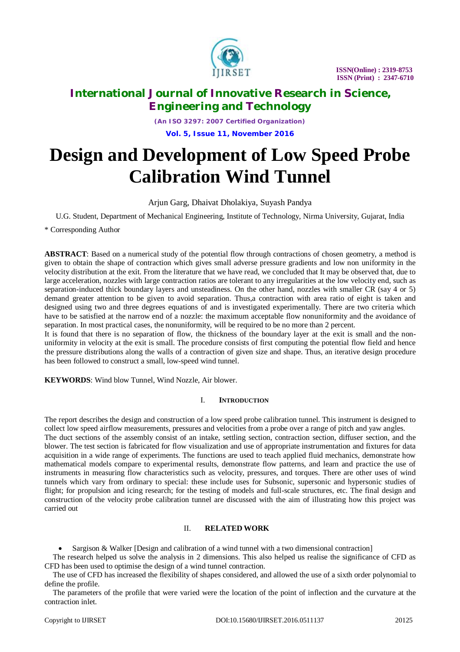

*(An ISO 3297: 2007 Certified Organization)* **Vol. 5, Issue 11, November 2016**

# **Design and Development of Low Speed Probe Calibration Wind Tunnel**

Arjun Garg, Dhaivat Dholakiya, Suyash Pandya

U.G. Student, Department of Mechanical Engineering, Institute of Technology, Nirma University, Gujarat, India

\* Corresponding Author

**ABSTRACT**: Based on a numerical study of the potential flow through contractions of chosen geometry, a method is given to obtain the shape of contraction which gives small adverse pressure gradients and low non uniformity in the velocity distribution at the exit. From the literature that we have read, we concluded that It may be observed that, due to large acceleration, nozzles with large contraction ratios are tolerant to any irregularities at the low velocity end, such as separation-induced thick boundary layers and unsteadiness. On the other hand, nozzles with smaller CR (say 4 or 5) demand greater attention to be given to avoid separation. Thus,a contraction with area ratio of eight is taken and designed using two and three degrees equations of and is investigated experimentally. There are two criteria which have to be satisfied at the narrow end of a nozzle: the maximum acceptable flow nonuniformity and the avoidance of separation. In most practical cases, the nonuniformity, will be required to be no more than 2 percent.

It is found that there is no separation of flow, the thickness of the boundary layer at the exit is small and the nonuniformity in velocity at the exit is small. The procedure consists of first computing the potential flow field and hence the pressure distributions along the walls of a contraction of given size and shape. Thus, an iterative design procedure has been followed to construct a small, low-speed wind tunnel.

**KEYWORDS**: Wind blow Tunnel, Wind Nozzle, Air blower.

#### I. **INTRODUCTION**

The report describes the design and construction of a low speed probe calibration tunnel. This instrument is designed to collect low speed airflow measurements, pressures and velocities from a probe over a range of pitch and yaw angles. The duct sections of the assembly consist of an intake, settling section, contraction section, diffuser section, and the blower. The test section is fabricated for flow visualization and use of appropriate instrumentation and fixtures for data acquisition in a wide range of experiments. The functions are used to teach applied fluid mechanics, demonstrate how mathematical models compare to experimental results, demonstrate flow patterns, and learn and practice the use of instruments in measuring flow characteristics such as velocity, pressures, and torques. There are other uses of wind tunnels which vary from ordinary to special: these include uses for Subsonic, supersonic and hypersonic studies of flight; for propulsion and icing research; for the testing of models and full-scale structures, etc. The final design and construction of the velocity probe calibration tunnel are discussed with the aim of illustrating how this project was carried out

### II. **RELATED WORK**

Sargison & Walker [Design and calibration of a wind tunnel with a two dimensional contraction]

The research helped us solve the analysis in 2 dimensions. This also helped us realise the significance of CFD as CFD has been used to optimise the design of a wind tunnel contraction.

The use of CFD has increased the flexibility of shapes considered, and allowed the use of a sixth order polynomial to define the profile.

The parameters of the profile that were varied were the location of the point of inflection and the curvature at the contraction inlet.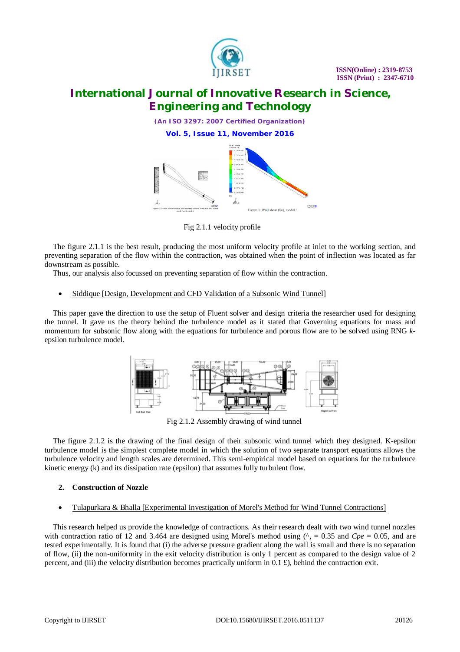



Fig 2.1.1 velocity profile

The figure 2.1.1 is the best result, producing the most uniform velocity profile at inlet to the working section, and preventing separation of the flow within the contraction, was obtained when the point of inflection was located as far downstream as possible.

Thus, our analysis also focussed on preventing separation of flow within the contraction.

#### Siddique [Design, Development and CFD Validation of a Subsonic Wind Tunnel]

This paper gave the direction to use the setup of Fluent solver and design criteria the researcher used for designing the tunnel. It gave us the theory behind the turbulence model as it stated that Governing equations for mass and momentum for subsonic flow along with the equations for turbulence and porous flow are to be solved using RNG *k*epsilon turbulence model.



Fig 2.1.2 Assembly drawing of wind tunnel

The figure 2.1.2 is the drawing of the final design of their subsonic wind tunnel which they designed. K-epsilon turbulence model is the simplest complete model in which the solution of two separate transport equations allows the turbulence velocity and length scales are determined. This semi-empirical model based on equations for the turbulence kinetic energy (k) and its dissipation rate (epsilon) that assumes fully turbulent flow.

#### **2. Construction of Nozzle**

Tulapurkara & Bhalla [Experimental Investigation of Morel's Method for Wind Tunnel Contractions]

This research helped us provide the knowledge of contractions. As their research dealt with two wind tunnel nozzles with contraction ratio of 12 and 3.464 are designed using Morel's method using  $(^{\prime}$ , = 0.35 and *Cpe* = 0.05, and are tested experimentally. It is found that (i) the adverse pressure gradient along the wall is small and there is no separation of flow, (ii) the non-uniformity in the exit velocity distribution is only 1 percent as compared to the design value of 2 percent, and (iii) the velocity distribution becomes practically uniform in 0.1 £), behind the contraction exit.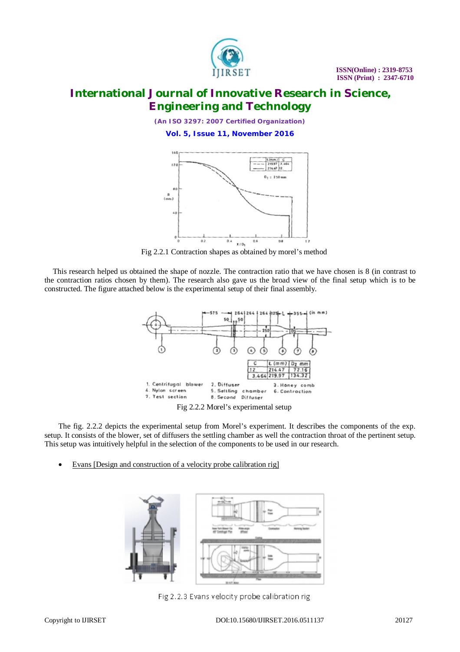

*(An ISO 3297: 2007 Certified Organization)* **Vol. 5, Issue 11, November 2016**



Fig 2.2.1 Contraction shapes as obtained by morel's method

This research helped us obtained the shape of nozzle. The contraction ratio that we have chosen is 8 (in contrast to the contraction ratios chosen by them). The research also gave us the broad view of the final setup which is to be constructed. The figure attached below is the experimental setup of their final assembly.



Fig 2.2.2 Morel's experimental setup

The fig. 2.2.2 depicts the experimental setup from Morel's experiment. It describes the components of the exp. setup. It consists of the blower, set of diffusers the settling chamber as well the contraction throat of the pertinent setup. This setup was intuitively helpful in the selection of the components to be used in our research.

Evans [Design and construction of a velocity probe calibration rig]



Fig 2.2.3 Evans velocity probe calibration rig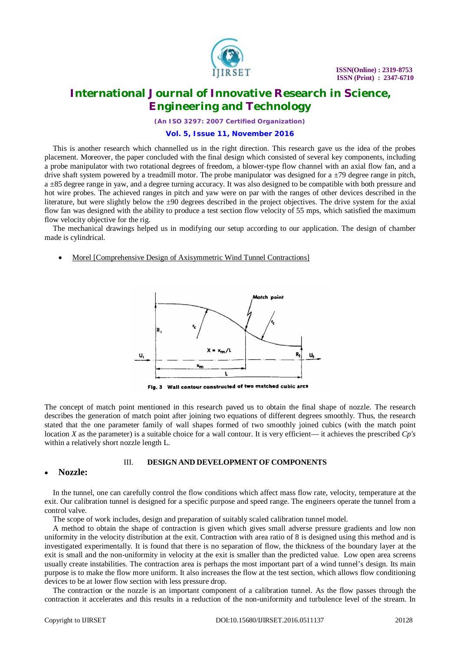

*(An ISO 3297: 2007 Certified Organization)*

#### **Vol. 5, Issue 11, November 2016**

This is another research which channelled us in the right direction. This research gave us the idea of the probes placement. Moreover, the paper concluded with the final design which consisted of several key components, including a probe manipulator with two rotational degrees of freedom, a blower-type flow channel with an axial flow fan, and a drive shaft system powered by a treadmill motor. The probe manipulator was designed for a  $\pm$ 79 degree range in pitch, a ±85 degree range in yaw, and a degree turning accuracy. It was also designed to be compatible with both pressure and hot wire probes. The achieved ranges in pitch and yaw were on par with the ranges of other devices described in the literature, but were slightly below the  $\pm 90$  degrees described in the project objectives. The drive system for the axial flow fan was designed with the ability to produce a test section flow velocity of 55 mps, which satisfied the maximum flow velocity objective for the rig.

The mechanical drawings helped us in modifying our setup according to our application. The design of chamber made is cylindrical.

Morel [Comprehensive Design of Axisymmetric Wind Tunnel Contractions]



Fig. 3 Wall contour constructed of two matched cubic arcs

The concept of match point mentioned in this research paved us to obtain the final shape of nozzle. The research describes the generation of match point after joining two equations of different degrees smoothly. Thus, the research stated that the one parameter family of wall shapes formed of two smoothly joined cubics (with the match point location *X* as the parameter) is a suitable choice for a wall contour. It is very efficient— it achieves the prescribed *Cp's*  within a relatively short nozzle length L.

#### III. **DESIGN AND DEVELOPMENT OF COMPONENTS**

#### **Nozzle:**

In the tunnel, one can carefully control the flow conditions which affect mass flow rate, velocity, temperature at the exit. Our calibration tunnel is designed for a specific purpose and speed range. The engineers operate the tunnel from a control valve.

The scope of work includes, design and preparation of suitably scaled calibration tunnel model.

A method to obtain the shape of contraction is given which gives small adverse pressure gradients and low non uniformity in the velocity distribution at the exit. Contraction with area ratio of 8 is designed using this method and is investigated experimentally. It is found that there is no separation of flow, the thickness of the boundary layer at the exit is small and the non-uniformity in velocity at the exit is smaller than the predicted value. Low open area screens usually create instabilities. The contraction area is perhaps the most important part of a wind tunnel's design. Its main purpose is to make the flow more uniform. It also increases the flow at the test section, which allows flow conditioning devices to be at lower flow section with less pressure drop.

The contraction or the nozzle is an important component of a calibration tunnel. As the flow passes through the contraction it accelerates and this results in a reduction of the non-uniformity and turbulence level of the stream. In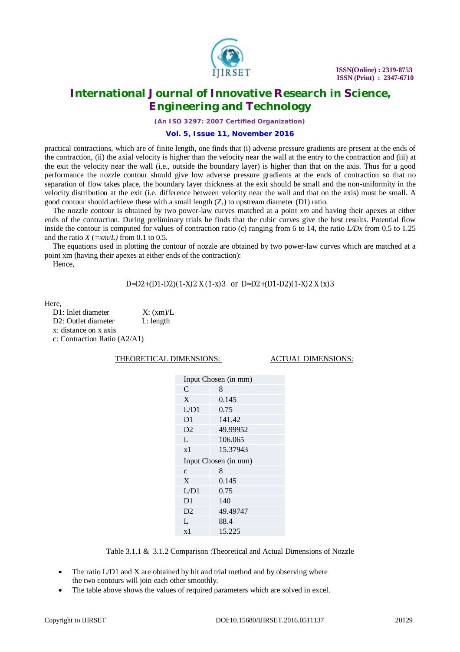

*(An ISO 3297: 2007 Certified Organization)*

#### **Vol. 5, Issue 11, November 2016**

practical contractions, which are of finite length, one finds that (i) adverse pressure gradients are present at the ends of the contraction, (ii) the axial velocity is higher than the velocity near the wall at the entry to the contraction and (iii) at the exit the velocity near the wall (i.e., outside the boundary layer) is higher than that on the axis. Thus for a good performance the nozzle contour should give low adverse pressure gradients at the ends of contraction so that no separation of flow takes place, the boundary layer thickness at the exit should be small and the non-uniformity in the velocity distribution at the exit (i.e. difference between velocity near the wall and that on the axis) must be small. A good contour should achieve these with a small length (Z,) to upstream diameter (D1) ratio.

The nozzle contour is obtained by two power-law curves matched at a point *xm* and having their apexes at either ends of the contraction. During preliminary trials he finds that the cubic curves give the best results. Potential flow inside the contour is computed for values of contraction ratio (c) ranging from 6 to 14, the ratio *L/Dx* from 0.5 to 1.25 and the ratio  $X$  ( $=xm/L$ ) from 0.1 to 0.5.

The equations used in plotting the contour of nozzle are obtained by two power-law curves which are matched at a point xm (having their apexes at either ends of the contraction):

Hence,

D=D2+(D1-D2)(1-X)2 X (1-x)3 or D=D2+(D1-D2)(1-X)2 X (x)3

 $H_{\alpha r \alpha}$ 

D1: Inlet diameter X:  $(xm)/L$ D2: Outlet diameter L: length x: distance on x axis c: Contraction Ratio (A2/A1)

THEORETICAL DIMENSIONS: ACTUAL DIMENSIONS:

| Input Chosen (in mm) |          |  |
|----------------------|----------|--|
| C                    | 8        |  |
| X                    | 0.145    |  |
| L/D1                 | 0.75     |  |
| D1                   | 141.42   |  |
| D <sub>2</sub>       | 49.99952 |  |
| L                    | 106.065  |  |
| x1                   | 15.37943 |  |
| Input Chosen (in mm) |          |  |
|                      |          |  |
| $\mathbf{C}$         | 8        |  |
| X                    | 0.145    |  |
| L/D1                 | 0.75     |  |
| D1                   | 140      |  |
| D <sub>2</sub>       | 49.49747 |  |
| L                    | 88.4     |  |

Table 3.1.1 & 3.1.2 Comparison :Theoretical and Actual Dimensions of Nozzle

- The ratio L/D1 and X are obtained by hit and trial method and by observing where the two contours will join each other smoothly.
- The table above shows the values of required parameters which are solved in excel.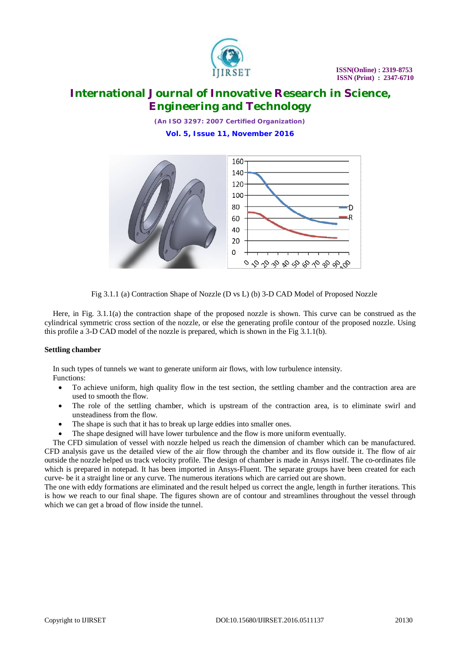

*(An ISO 3297: 2007 Certified Organization)* **Vol. 5, Issue 11, November 2016**



Fig 3.1.1 (a) Contraction Shape of Nozzle (D vs L) (b) 3-D CAD Model of Proposed Nozzle

Here, in Fig. 3.1.1(a) the contraction shape of the proposed nozzle is shown. This curve can be construed as the cylindrical symmetric cross section of the nozzle, or else the generating profile contour of the proposed nozzle. Using this profile a 3-D CAD model of the nozzle is prepared, which is shown in the Fig 3.1.1(b).

### **Settling chamber**

In such types of tunnels we want to generate uniform air flows, with low turbulence intensity. Functions:

- To achieve uniform, high quality flow in the test section, the settling chamber and the contraction area are used to smooth the flow.
- The role of the settling chamber, which is upstream of the contraction area, is to eliminate swirl and unsteadiness from the flow.
- The shape is such that it has to break up large eddies into smaller ones.
- The shape designed will have lower turbulence and the flow is more uniform eventually.

The CFD simulation of vessel with nozzle helped us reach the dimension of chamber which can be manufactured. CFD analysis gave us the detailed view of the air flow through the chamber and its flow outside it. The flow of air outside the nozzle helped us track velocity profile. The design of chamber is made in Ansys itself. The co-ordinates file which is prepared in notepad. It has been imported in Ansys-Fluent. The separate groups have been created for each curve- be it a straight line or any curve. The numerous iterations which are carried out are shown.

The one with eddy formations are eliminated and the result helped us correct the angle, length in further iterations. This is how we reach to our final shape. The figures shown are of contour and streamlines throughout the vessel through which we can get a broad of flow inside the tunnel.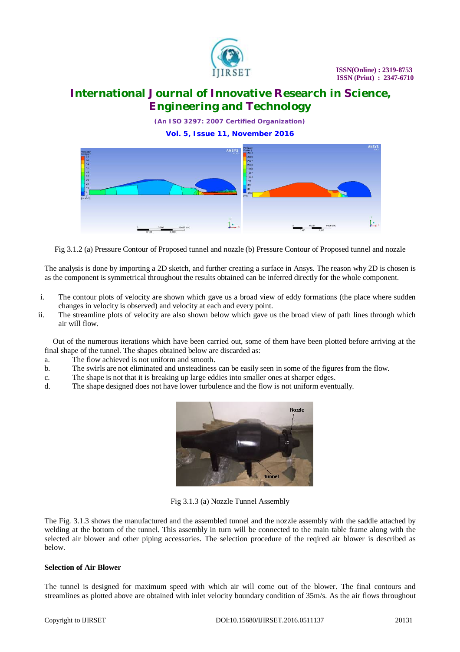

*(An ISO 3297: 2007 Certified Organization)* **Vol. 5, Issue 11, November 2016**



Fig 3.1.2 (a) Pressure Contour of Proposed tunnel and nozzle (b) Pressure Contour of Proposed tunnel and nozzle

The analysis is done by importing a 2D sketch, and further creating a surface in Ansys. The reason why 2D is chosen is as the component is symmetrical throughout the results obtained can be inferred directly for the whole component.

- i. The contour plots of velocity are shown which gave us a broad view of eddy formations (the place where sudden changes in velocity is observed) and velocity at each and every point.
- ii. The streamline plots of velocity are also shown below which gave us the broad view of path lines through which air will flow.

Out of the numerous iterations which have been carried out, some of them have been plotted before arriving at the final shape of the tunnel. The shapes obtained below are discarded as:

- a. The flow achieved is not uniform and smooth.
- b. The swirls are not eliminated and unsteadiness can be easily seen in some of the figures from the flow.
- c. The shape is not that it is breaking up large eddies into smaller ones at sharper edges.
- d. The shape designed does not have lower turbulence and the flow is not uniform eventually.



Fig 3.1.3 (a) Nozzle Tunnel Assembly

The Fig. 3.1.3 shows the manufactured and the assembled tunnel and the nozzle assembly with the saddle attached by welding at the bottom of the tunnel. This assembly in turn will be connected to the main table frame along with the selected air blower and other piping accessories. The selection procedure of the reqired air blower is described as below.

#### **Selection of Air Blower**

The tunnel is designed for maximum speed with which air will come out of the blower. The final contours and streamlines as plotted above are obtained with inlet velocity boundary condition of 35m/s. As the air flows throughout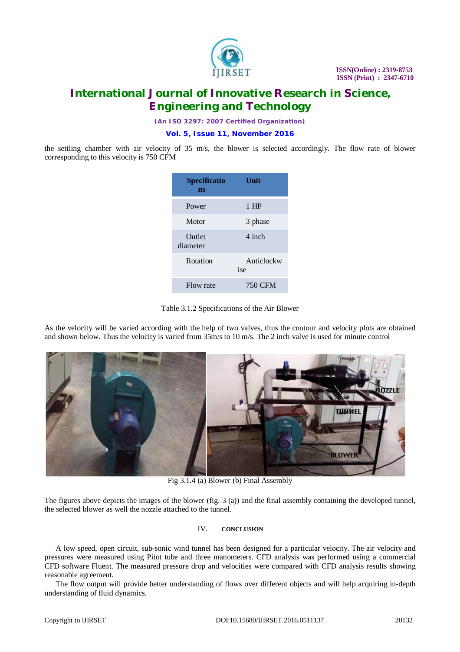

*(An ISO 3297: 2007 Certified Organization)*

#### **Vol. 5, Issue 11, November 2016**

the settling chamber with air velocity of 35 m/s, the blower is selected accordingly. The flow rate of blower corresponding to this velocity is 750 CFM

| Specificatio<br>ns | Unit              |
|--------------------|-------------------|
| Power              | $1$ HP            |
| Motor              | 3 phase           |
| Outlet<br>diameter | 4 inch            |
| Rotation           | Anticlockw<br>ise |
| Flow rate          | 750 CFM           |



As the velocity will be varied according with the help of two valves, thus the contour and velocity plots are obtained and shown below. Thus the velocity is varied from 35m/s to 10 m/s. The 2 inch valve is used for minute control



Fig 3.1.4 (a) Blower (b) Final Assembly

The figures above depicts the images of the blower (fig. 3 (a)) and the final assembly containing the developed tunnel, the selected blower as well the nozzle attached to the tunnel.

### IV. **CONCLUSION**

A low speed, open circuit, sub-sonic wind tunnel has been designed for a particular velocity. The air velocity and pressures were measured using Pitot tube and three manometers. CFD analysis was performed using a commercial CFD software Fluent. The measured pressure drop and velocities were compared with CFD analysis results showing reasonable agreement.

The flow output will provide better understanding of flows over different objects and will help acquiring in-depth understanding of fluid dynamics.